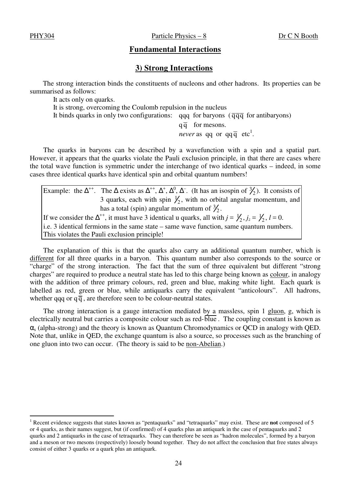$\overline{a}$ 

## **Fundamental Interactions**

## **3) Strong Interactions**

The strong interaction binds the constituents of nucleons and other hadrons. Its properties can be summarised as follows:

It acts only on quarks.

It is strong, overcoming the Coulomb repulsion in the nucleus It binds quarks in only two configurations: qqq for baryons ( $\overline{q}\overline{q}\overline{q}$  for antibaryons)

 $q\bar{q}$  for mesons. *never* as qq or  $qq\bar{q}$  etc<sup>1</sup>.

The quarks in baryons can be described by a wavefunction with a spin and a spatial part. However, it appears that the quarks violate the Pauli exclusion principle, in that there are cases where the total wave function is symmetric under the interchange of two identical quarks – indeed, in some cases three identical quarks have identical spin and orbital quantum numbers!

| Example: the $\Delta^{++}$ . The $\Delta$ exists as $\Delta^{++}$ , $\Delta^+$ , $\Delta^0$ , $\Delta^-$ . (It has an isospin of $\frac{3}{2}$ ). It consists of |
|------------------------------------------------------------------------------------------------------------------------------------------------------------------|
| 3 quarks, each with spin $\frac{1}{2}$ , with no orbital angular momentum, and                                                                                   |
| has a total (spin) angular momentum of $\frac{3}{2}$ .                                                                                                           |
| If we consider the $\Delta^{++}$ , it must have 3 identical u quarks, all with $j = \frac{1}{2}$ , $j_z = \frac{1}{2}$ , $l = 0$ .                               |
| i.e. 3 identical fermions in the same state – same wave function, same quantum numbers.                                                                          |
| This violates the Pauli exclusion principle!                                                                                                                     |

The explanation of this is that the quarks also carry an additional quantum number, which is different for all three quarks in a baryon. This quantum number also corresponds to the source or "charge" of the strong interaction. The fact that the sum of three equivalent but different "strong charges" are required to produce a neutral state has led to this charge being known as colour, in analogy with the addition of three primary colours, red, green and blue, making white light. Each quark is labelled as red, green or blue, while antiquarks carry the equivalent "anticolours". All hadrons, whether qqq or  $q\bar{q}$ , are therefore seen to be colour-neutral states.

The strong interaction is a gauge interaction mediated by a massless, spin 1 gluon, g, which is electrically neutral but carries a composite colour such as red-blue . The coupling constant is known as  $\alpha_s$  (alpha-strong) and the theory is known as Quantum Chromodynamics or QCD in analogy with QED. Note that, unlike in QED, the exchange quantum is also a source, so processes such as the branching of one gluon into two can occur. (The theory is said to be non-Abelian.)

<sup>1</sup> Recent evidence suggests that states known as "pentaquarks" and "tetraquarks" may exist. These are **not** composed of 5 or 4 quarks, as their names suggest, but (if confirmed) of 4 quarks plus an antiquark in the case of pentaquarks and 2 quarks and 2 antiquarks in the case of tetraquarks. They can therefore be seen as "hadron molecules", formed by a baryon and a meson or two mesons (respectively) loosely bound together. They do not affect the conclusion that free states always consist of either 3 quarks or a quark plus an antiquark.